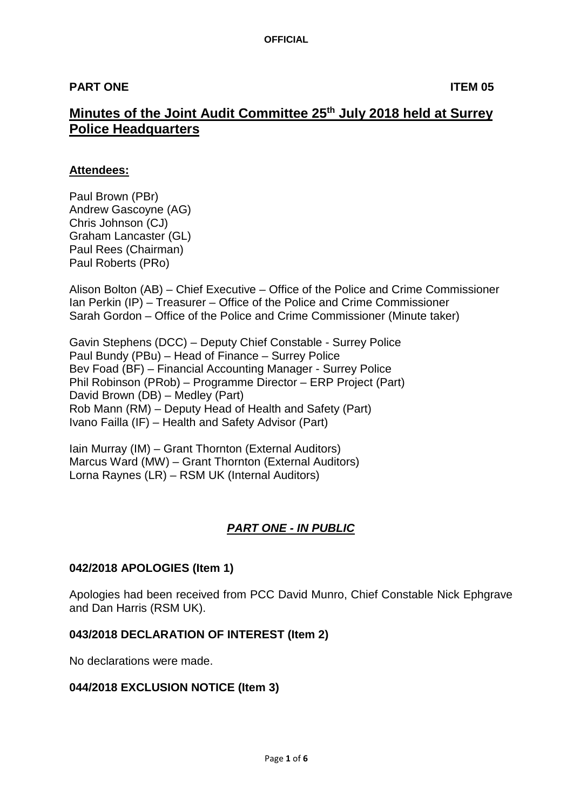# **PART ONE ITEM 05**

# **Minutes of the Joint Audit Committee 25th July 2018 held at Surrey Police Headquarters**

## **Attendees:**

Paul Brown (PBr) Andrew Gascoyne (AG) Chris Johnson (CJ) Graham Lancaster (GL) Paul Rees (Chairman) Paul Roberts (PRo)

Alison Bolton (AB) – Chief Executive – Office of the Police and Crime Commissioner Ian Perkin (IP) – Treasurer – Office of the Police and Crime Commissioner Sarah Gordon – Office of the Police and Crime Commissioner (Minute taker)

Gavin Stephens (DCC) – Deputy Chief Constable - Surrey Police Paul Bundy (PBu) – Head of Finance – Surrey Police Bev Foad (BF) – Financial Accounting Manager - Surrey Police Phil Robinson (PRob) – Programme Director – ERP Project (Part) David Brown (DB) – Medley (Part) Rob Mann (RM) – Deputy Head of Health and Safety (Part) Ivano Failla (IF) – Health and Safety Advisor (Part)

Iain Murray (IM) – Grant Thornton (External Auditors) Marcus Ward (MW) – Grant Thornton (External Auditors) Lorna Raynes (LR) – RSM UK (Internal Auditors)

# *PART ONE - IN PUBLIC*

## **042/2018 APOLOGIES (Item 1)**

Apologies had been received from PCC David Munro, Chief Constable Nick Ephgrave and Dan Harris (RSM UK).

#### **043/2018 DECLARATION OF INTEREST (Item 2)**

No declarations were made.

## **044/2018 EXCLUSION NOTICE (Item 3)**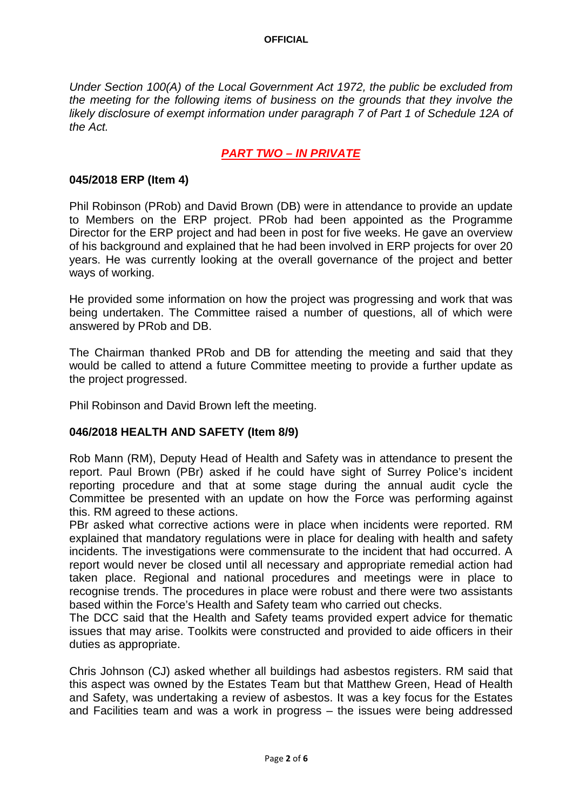#### **OFFICIAL**

*Under Section 100(A) of the Local Government Act 1972, the public be excluded from the meeting for the following items of business on the grounds that they involve the likely disclosure of exempt information under paragraph 7 of Part 1 of Schedule 12A of the Act.*

# *PART TWO – IN PRIVATE*

#### **045/2018 ERP (Item 4)**

Phil Robinson (PRob) and David Brown (DB) were in attendance to provide an update to Members on the ERP project. PRob had been appointed as the Programme Director for the ERP project and had been in post for five weeks. He gave an overview of his background and explained that he had been involved in ERP projects for over 20 years. He was currently looking at the overall governance of the project and better ways of working.

He provided some information on how the project was progressing and work that was being undertaken. The Committee raised a number of questions, all of which were answered by PRob and DB.

The Chairman thanked PRob and DB for attending the meeting and said that they would be called to attend a future Committee meeting to provide a further update as the project progressed.

Phil Robinson and David Brown left the meeting.

#### **046/2018 HEALTH AND SAFETY (Item 8/9)**

Rob Mann (RM), Deputy Head of Health and Safety was in attendance to present the report. Paul Brown (PBr) asked if he could have sight of Surrey Police's incident reporting procedure and that at some stage during the annual audit cycle the Committee be presented with an update on how the Force was performing against this. RM agreed to these actions.

PBr asked what corrective actions were in place when incidents were reported. RM explained that mandatory regulations were in place for dealing with health and safety incidents. The investigations were commensurate to the incident that had occurred. A report would never be closed until all necessary and appropriate remedial action had taken place. Regional and national procedures and meetings were in place to recognise trends. The procedures in place were robust and there were two assistants based within the Force's Health and Safety team who carried out checks.

The DCC said that the Health and Safety teams provided expert advice for thematic issues that may arise. Toolkits were constructed and provided to aide officers in their duties as appropriate.

Chris Johnson (CJ) asked whether all buildings had asbestos registers. RM said that this aspect was owned by the Estates Team but that Matthew Green, Head of Health and Safety, was undertaking a review of asbestos. It was a key focus for the Estates and Facilities team and was a work in progress – the issues were being addressed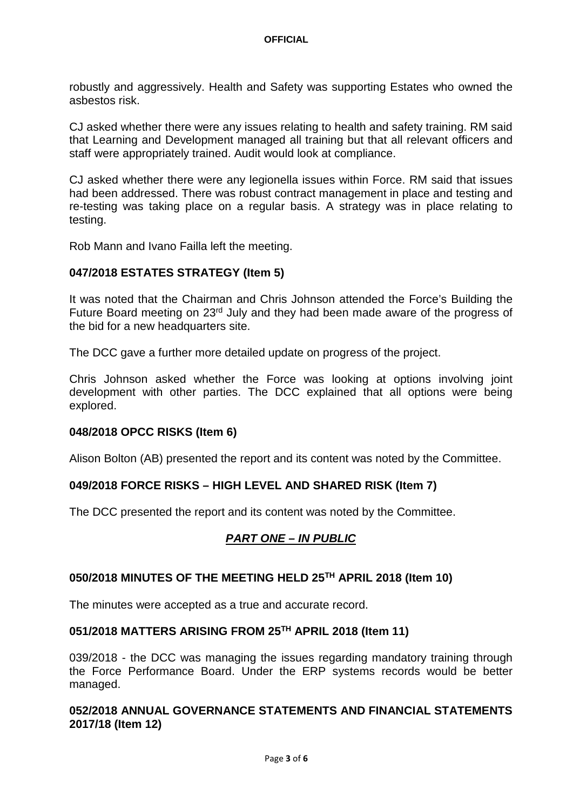robustly and aggressively. Health and Safety was supporting Estates who owned the asbestos risk.

CJ asked whether there were any issues relating to health and safety training. RM said that Learning and Development managed all training but that all relevant officers and staff were appropriately trained. Audit would look at compliance.

CJ asked whether there were any legionella issues within Force. RM said that issues had been addressed. There was robust contract management in place and testing and re-testing was taking place on a regular basis. A strategy was in place relating to testing.

Rob Mann and Ivano Failla left the meeting.

## **047/2018 ESTATES STRATEGY (Item 5)**

It was noted that the Chairman and Chris Johnson attended the Force's Building the Future Board meeting on 23rd July and they had been made aware of the progress of the bid for a new headquarters site.

The DCC gave a further more detailed update on progress of the project.

Chris Johnson asked whether the Force was looking at options involving joint development with other parties. The DCC explained that all options were being explored.

## **048/2018 OPCC RISKS (Item 6)**

Alison Bolton (AB) presented the report and its content was noted by the Committee.

## **049/2018 FORCE RISKS – HIGH LEVEL AND SHARED RISK (Item 7)**

The DCC presented the report and its content was noted by the Committee.

## *PART ONE – IN PUBLIC*

## **050/2018 MINUTES OF THE MEETING HELD 25TH APRIL 2018 (Item 10)**

The minutes were accepted as a true and accurate record.

## **051/2018 MATTERS ARISING FROM 25TH APRIL 2018 (Item 11)**

039/2018 - the DCC was managing the issues regarding mandatory training through the Force Performance Board. Under the ERP systems records would be better managed.

## **052/2018 ANNUAL GOVERNANCE STATEMENTS AND FINANCIAL STATEMENTS 2017/18 (Item 12)**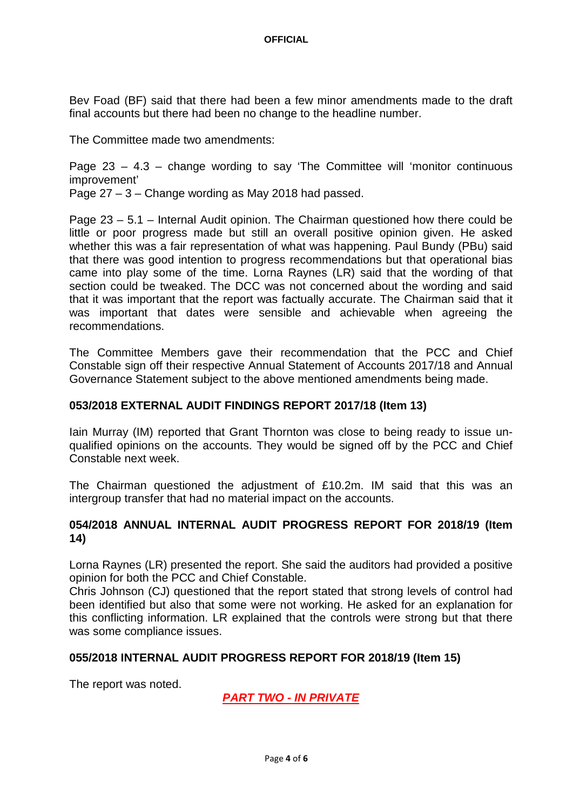Bev Foad (BF) said that there had been a few minor amendments made to the draft final accounts but there had been no change to the headline number.

The Committee made two amendments:

Page  $23 - 4.3$  – change wording to say 'The Committee will 'monitor continuous improvement'

Page 27 – 3 – Change wording as May 2018 had passed.

Page 23 – 5.1 – Internal Audit opinion. The Chairman questioned how there could be little or poor progress made but still an overall positive opinion given. He asked whether this was a fair representation of what was happening. Paul Bundy (PBu) said that there was good intention to progress recommendations but that operational bias came into play some of the time. Lorna Raynes (LR) said that the wording of that section could be tweaked. The DCC was not concerned about the wording and said that it was important that the report was factually accurate. The Chairman said that it was important that dates were sensible and achievable when agreeing the recommendations.

The Committee Members gave their recommendation that the PCC and Chief Constable sign off their respective Annual Statement of Accounts 2017/18 and Annual Governance Statement subject to the above mentioned amendments being made.

# **053/2018 EXTERNAL AUDIT FINDINGS REPORT 2017/18 (Item 13)**

Iain Murray (IM) reported that Grant Thornton was close to being ready to issue unqualified opinions on the accounts. They would be signed off by the PCC and Chief Constable next week.

The Chairman questioned the adjustment of £10.2m. IM said that this was an intergroup transfer that had no material impact on the accounts.

## **054/2018 ANNUAL INTERNAL AUDIT PROGRESS REPORT FOR 2018/19 (Item 14)**

Lorna Raynes (LR) presented the report. She said the auditors had provided a positive opinion for both the PCC and Chief Constable.

Chris Johnson (CJ) questioned that the report stated that strong levels of control had been identified but also that some were not working. He asked for an explanation for this conflicting information. LR explained that the controls were strong but that there was some compliance issues.

## **055/2018 INTERNAL AUDIT PROGRESS REPORT FOR 2018/19 (Item 15)**

The report was noted.

*PART TWO - IN PRIVATE*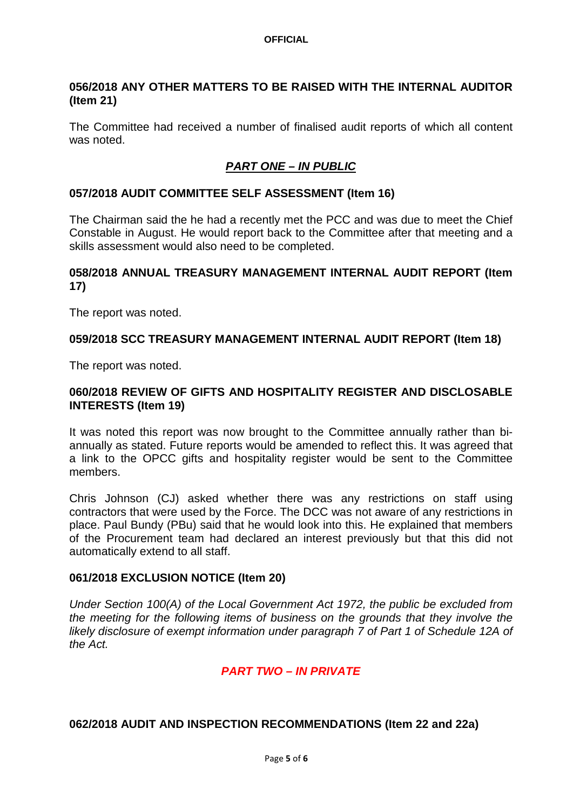#### **OFFICIAL**

## **056/2018 ANY OTHER MATTERS TO BE RAISED WITH THE INTERNAL AUDITOR (Item 21)**

The Committee had received a number of finalised audit reports of which all content was noted.

# *PART ONE – IN PUBLIC*

#### **057/2018 AUDIT COMMITTEE SELF ASSESSMENT (Item 16)**

The Chairman said the he had a recently met the PCC and was due to meet the Chief Constable in August. He would report back to the Committee after that meeting and a skills assessment would also need to be completed.

#### **058/2018 ANNUAL TREASURY MANAGEMENT INTERNAL AUDIT REPORT (Item 17)**

The report was noted.

#### **059/2018 SCC TREASURY MANAGEMENT INTERNAL AUDIT REPORT (Item 18)**

The report was noted.

## **060/2018 REVIEW OF GIFTS AND HOSPITALITY REGISTER AND DISCLOSABLE INTERESTS (Item 19)**

It was noted this report was now brought to the Committee annually rather than biannually as stated. Future reports would be amended to reflect this. It was agreed that a link to the OPCC gifts and hospitality register would be sent to the Committee members.

Chris Johnson (CJ) asked whether there was any restrictions on staff using contractors that were used by the Force. The DCC was not aware of any restrictions in place. Paul Bundy (PBu) said that he would look into this. He explained that members of the Procurement team had declared an interest previously but that this did not automatically extend to all staff.

## **061/2018 EXCLUSION NOTICE (Item 20)**

*Under Section 100(A) of the Local Government Act 1972, the public be excluded from the meeting for the following items of business on the grounds that they involve the likely disclosure of exempt information under paragraph 7 of Part 1 of Schedule 12A of the Act.*

## *PART TWO – IN PRIVATE*

## **062/2018 AUDIT AND INSPECTION RECOMMENDATIONS (Item 22 and 22a)**